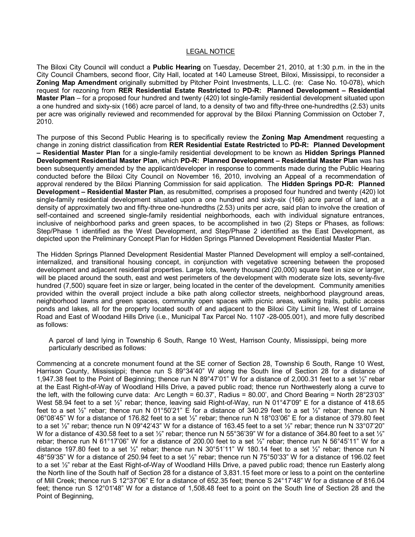## LEGAL NOTICE

The Biloxi City Council will conduct a **Public Hearing** on Tuesday, December 21, 2010, at 1:30 p.m. in the in the City Council Chambers, second floor, City Hall, located at 140 Lameuse Street, Biloxi, Mississippi, to reconsider a **Zoning Map Amendment** originally submitted by Pitcher Point Investments, L.L.C. (re: Case No. 10-078), which request for rezoning from **RER Residential Estate Restricted** to **PDR: Planned Development – Residential Master Plan** – for a proposed four hundred and twenty (420) lot single-family residential development situated upon a one hundred and sixty-six (166) acre parcel of land, to a density of two and fifty-three one-hundredths (2.53) units per acre was originally reviewed and recommended for approval by the Biloxi Planning Commission on October 7, 2010.

The purpose of this Second Public Hearing is to specifically review the **Zoning Map Amendment** requesting a change in zoning district classification from **RER Residential Estate Restricted** to **PDR: Planned Development – Residential Master Plan** for a singlefamily residential development to be known as **Hidden Springs Planned Development Residential Master Plan**, which **PDR: Planned Development – Residential Master Plan** was has been subsequently amended by the applicant/developer in response to comments made during the Public Hearing conducted before the Biloxi City Council on November 16, 2010, involving an Appeal of a recommendation of approval rendered by the Biloxi Planning Commission for said application. The **Hidden Springs PDR: Planned Development – Residential Master Plan**, as resubmitted, comprises a proposed four hundred and twenty (420) lot single-family residential development situated upon a one hundred and sixty-six (166) acre parcel of land, at a density of approximately two and fifty-three one-hundredths (2.53) units per acre, said plan to involve the creation of self-contained and screened single-family residential neighborhoods, each with individual signature entrances, inclusive of neighborhood parks and green spaces, to be accomplished in two (2) Steps or Phases, as follows: Step/Phase 1 identified as the West Development, and Step/Phase 2 identified as the East Development, as depicted upon the Preliminary Concept Plan for Hidden Springs Planned Development Residential Master Plan.

The Hidden Springs Planned Development Residential Master Planned Development will employ a self-contained, internalized, and transitional housing concept, in conjunction with vegetative screening between the proposed development and adjacent residential properties. Large lots, twenty thousand (20,000) square feet in size or larger, will be placed around the south, east and west perimeters of the development with moderate size lots, seventy-five hundred (7,500) square feet in size or larger, being located in the center of the development. Community amenities provided within the overall project include a bike path along collector streets, neighborhood playground areas, neighborhood lawns and green spaces, community open spaces with picnic areas, walking trails, public access ponds and lakes, all for the property located south of and adjacent to the Biloxi City Limit line, West of Lorraine Road and East of Woodand Hills Drive (i.e., Municipal Tax Parcel No. 1107 -28-005.001), and more fully described as follows:

A parcel of land lying in Township 6 South, Range 10 West, Harrison County, Mississippi, being more particularly described as follows:

Commencing at a concrete monument found at the SE corner of Section 28, Township 6 South, Range 10 West, Harrison County, Mississippi; thence run S 89°34'40" W along the South line of Section 28 for a distance of 1,947.38 feet to the Point of Beginning; thence run N 89°47'01" W for a distance of 2,000.31 feet to a set ½" rebar at the East Right-of-Way of Woodland Hills Drive, a paved public road; thence run Northwesterly along a curve to the left, with the following curve data: Arc Length = 60.37', Radius = 80.00', and Chord Bearing = North 28°23'03" West 58.94 feet to a set  $\frac{1}{2}$ " rebar; thence, leaving said Right-of-Way, run N 01°47'09" E for a distance of 418.65 feet to a set  $\frac{1}{2}$ " rebar; thence run N 01°50'21" E for a distance of 340.29 feet to a set  $\frac{1}{2}$ " rebar; thence run N 06°08'45" W for a distance of 176.82 feet to a set ½" rebar; thence run N 18°03'06" E for a distance of 379.80 feet to a set ½" rebar; thence run N 09°42'43" W for a distance of 163.45 feet to a set ½" rebar; thence run N 33°07'20" W for a distance of 430.58 feet to a set ½" rebar; thence run N 55°36'39" W for a distance of 364.80 feet to a set ½" rebar; thence run N 61°17'06" W for a distance of 200.00 feet to a set ½" rebar; thence run N 56°45'11" W for a distance 197.80 feet to a set  $\frac{1}{2}$ " rebar; thence run N 30°51'11" W 180.14 feet to a set  $\frac{1}{2}$ " rebar; thence run N 48°59'35" W for a distance of 250.94 feet to a set ½" rebar; thence run N 75°50'33" W for a distance of 196.02 feet to a set  $\frac{1}{2}$ " rebar at the East Right-of-Way of Woodland Hills Drive, a paved public road; thence run Easterly along the North line of the South half of Section 28 for a distance of 3,831.15 feet more or less to a point on the centerline of Mill Creek; thence run S 12°37'06" E for a distance of 652.35 feet; thence S 24°17'48" W for a distance of 816.04 feet; thence run S 12°01'48" W for a distance of 1,508.48 feet to a point on the South line of Section 28 and the Point of Beginning,